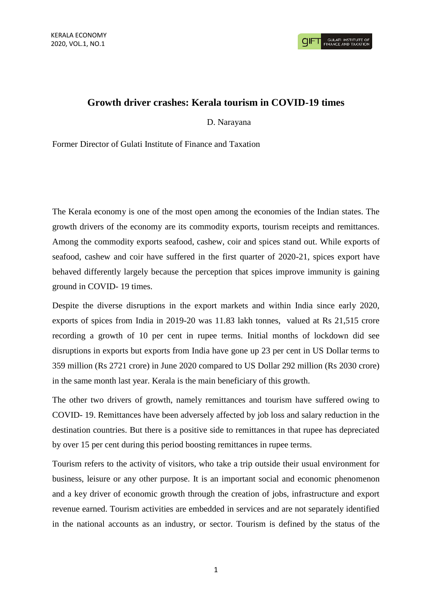## **Growth driver crashes: Kerala tourism in COVID-19 times**

D. Narayana

Former Director of Gulati Institute of Finance and Taxation

The Kerala economy is one of the most open among the economies of the Indian states. The growth drivers of the economy are its commodity exports, tourism receipts and remittances. Among the commodity exports seafood, cashew, coir and spices stand out. While exports of seafood, cashew and coir have suffered in the first quarter of 2020-21, spices export have behaved differently largely because the perception that spices improve immunity is gaining ground in COVID- 19 times.

Despite the diverse disruptions in the export markets and within India since early 2020, exports of spices from India in 2019-20 was 11.83 lakh tonnes, valued at Rs 21,515 crore recording a growth of 10 per cent in rupee terms. Initial months of lockdown did see disruptions in exports but exports from India have gone up 23 per cent in US Dollar terms to 359 million (Rs 2721 crore) in June 2020 compared to US Dollar 292 million (Rs 2030 crore) in the same month last year. Kerala is the main beneficiary of this growth.

The other two drivers of growth, namely remittances and tourism have suffered owing to COVID- 19. Remittances have been adversely affected by job loss and salary reduction in the destination countries. But there is a positive side to remittances in that rupee has depreciated by over 15 per cent during this period boosting remittances in rupee terms.

Tourism refers to the activity of visitors, who take a trip outside their usual environment for business, leisure or any other purpose. It is an important social and economic phenomenon and a key driver of economic growth through the creation of jobs, infrastructure and export revenue earned. Tourism activities are embedded in services and are not separately identified in the national accounts as an industry, or sector. Tourism is defined by the status of the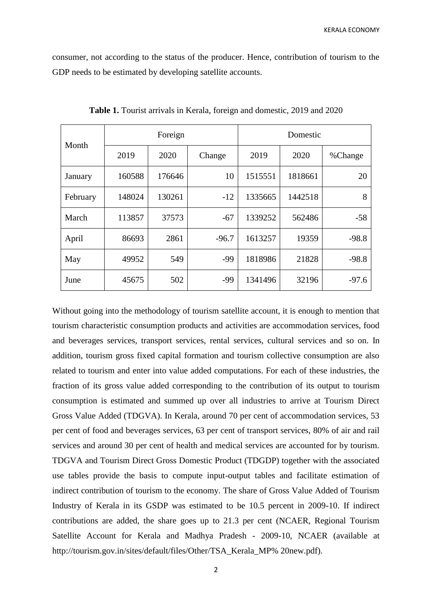KERALA ECONOMY

consumer, not according to the status of the producer. Hence, contribution of tourism to the GDP needs to be estimated by developing satellite accounts.

| Month    | Foreign |        |         | Domestic |         |         |
|----------|---------|--------|---------|----------|---------|---------|
|          | 2019    | 2020   | Change  | 2019     | 2020    | %Change |
| January  | 160588  | 176646 | 10      | 1515551  | 1818661 | 20      |
| February | 148024  | 130261 | $-12$   | 1335665  | 1442518 | 8       |
| March    | 113857  | 37573  | $-67$   | 1339252  | 562486  | $-58$   |
| April    | 86693   | 2861   | $-96.7$ | 1613257  | 19359   | $-98.8$ |
| May      | 49952   | 549    | -99     | 1818986  | 21828   | $-98.8$ |
| June     | 45675   | 502    | -99     | 1341496  | 32196   | $-97.6$ |

**Table 1.** Tourist arrivals in Kerala, foreign and domestic, 2019 and 2020

Without going into the methodology of tourism satellite account, it is enough to mention that tourism characteristic consumption products and activities are accommodation services, food and beverages services, transport services, rental services, cultural services and so on. In addition, tourism gross fixed capital formation and tourism collective consumption are also related to tourism and enter into value added computations. For each of these industries, the fraction of its gross value added corresponding to the contribution of its output to tourism consumption is estimated and summed up over all industries to arrive at Tourism Direct Gross Value Added (TDGVA). In Kerala, around 70 per cent of accommodation services, 53 per cent of food and beverages services, 63 per cent of transport services, 80% of air and rail services and around 30 per cent of health and medical services are accounted for by tourism. TDGVA and Tourism Direct Gross Domestic Product (TDGDP) together with the associated use tables provide the basis to compute input-output tables and facilitate estimation of indirect contribution of tourism to the economy. The share of Gross Value Added of Tourism Industry of Kerala in its GSDP was estimated to be 10.5 percent in 2009-10. If indirect contributions are added, the share goes up to 21.3 per cent (NCAER, Regional Tourism Satellite Account for Kerala and Madhya Pradesh - 2009-10, NCAER (available at http://tourism.gov.in/sites/default/files/Other/TSA\_Kerala\_MP% 20new.pdf).

2